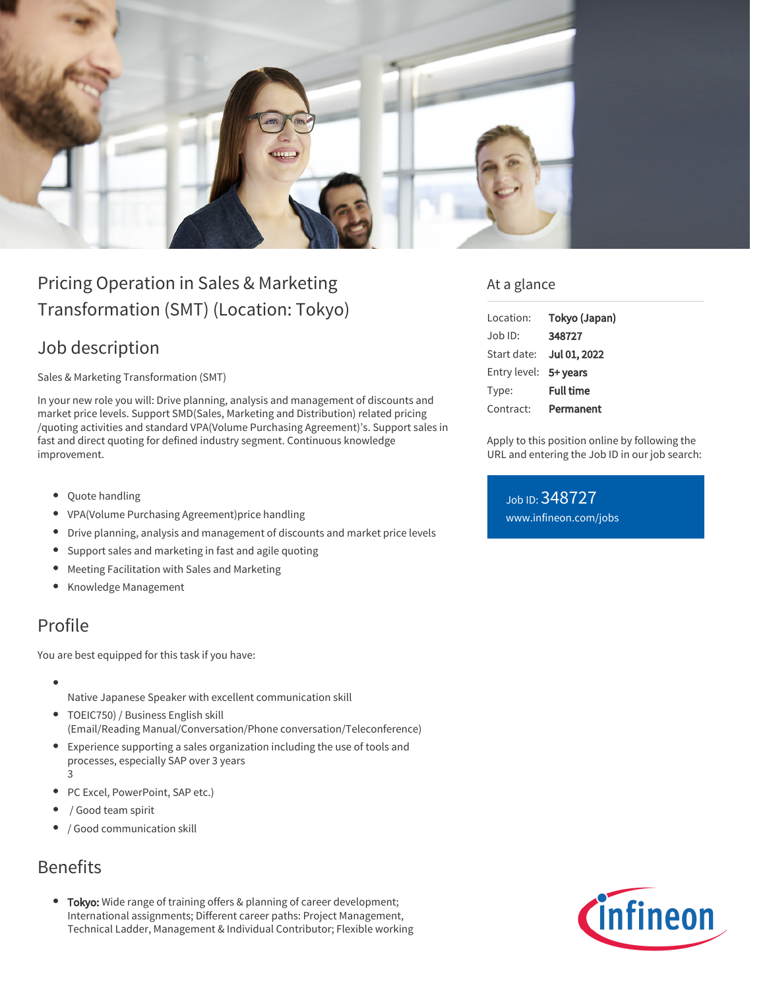

# Pricing Operation in Sales & Marketing Transformation (SMT) (Location: Tokyo)

## Job description

Sales & Marketing Transformation (SMT)

In your new role you will: Drive planning, analysis and management of discounts and market price levels. Support SMD(Sales, Marketing and Distribution) related pricing /quoting activities and standard VPA(Volume Purchasing Agreement)'s. Support sales in fast and direct quoting for defined industry segment. Continuous knowledge improvement.

- Quote handling
- VPA(Volume Purchasing Agreement)price handling
- Drive planning, analysis and management of discounts and market price levels
- Support sales and marketing in fast and agile quoting
- Meeting Facilitation with Sales and Marketing
- Knowledge Management

## Profile

You are best equipped for this task if you have:

- 
- Native Japanese Speaker with excellent communication skill
- TOEIC750) / Business English skill (Email/Reading Manual/Conversation/Phone conversation/Teleconference)
- Experience supporting a sales organization including the use of tools and processes, especially SAP over 3 years 3
- PC Excel, PowerPoint, SAP etc.)
- / Good team spirit
- / Good communication skill

## Benefits

• Tokyo: Wide range of training offers & planning of career development; International assignments; Different career paths: Project Management, Technical Ladder, Management & Individual Contributor; Flexible working

#### At a glance

| Location:    | Tokyo (Japan)    |
|--------------|------------------|
| .lob ID:     | 348727           |
| Start date:  | Jul 01, 2022     |
| Entry level: | 5+ years         |
| Type:        | <b>Full time</b> |
| Contract:    | Permanent        |

Apply to this position online by following the URL and entering the Job ID in our job search:

Job ID: 348727 [www.infineon.com/jobs](https://www.infineon.com/jobs)